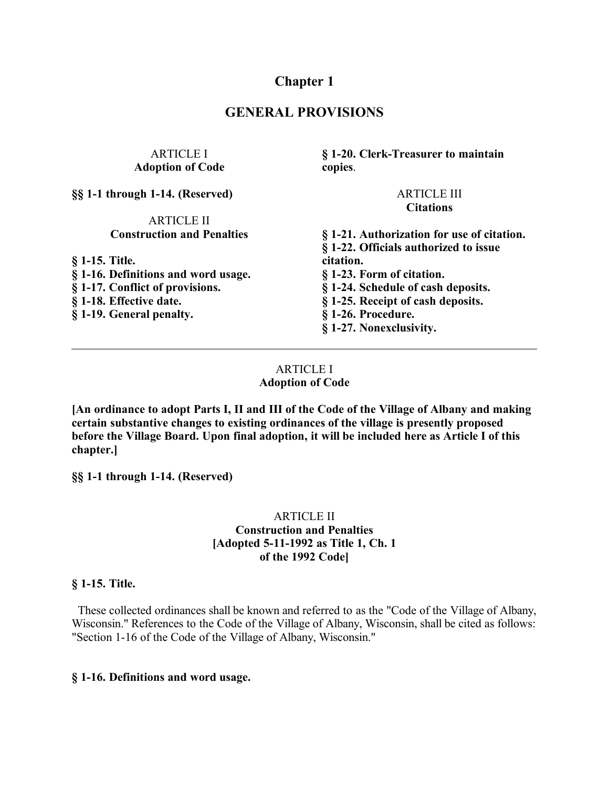# **Chapter 1**

## **GENERAL PROVISIONS**

### ARTICLE I **Adoption of Code**

**§§ 1-1 through 1-14. (Reserved)**

#### ARTICLE II **Construction and Penalties**

**§ 1-15. Title.**

- **§ 1-16. Definitions and word usage. § 1-17. Conflict of provisions. § 1-18. Effective date.**
- **§ 1-19. General penalty.**

**§ 1-20. Clerk-Treasurer to maintain copies**.

#### ARTICLE III **Citations**

**§ 1-21. Authorization for use of citation. § 1-22. Officials authorized to issue citation. § 1-23. Form of citation. § 1-24. Schedule of cash deposits. § 1-25. Receipt of cash deposits. § 1-26. Procedure. § 1-27. Nonexclusivity.**

### ARTICLE I **Adoption of Code**

**[An ordinance to adopt Parts I, II and III of the Code of the Village of Albany and making certain substantive changes to existing ordinances of the village is presently proposed before the Village Board. Upon final adoption, it will be included here as Article I of this chapter.]**

**§§ 1-1 through 1-14. (Reserved)**

### ARTICLE II **Construction and Penalties [Adopted 5-11-1992 as Title 1, Ch. 1 of the 1992 Code]**

#### **§ 1-15. Title.**

 These collected ordinances shall be known and referred to as the "Code of the Village of Albany, Wisconsin." References to the Code of the Village of Albany, Wisconsin, shall be cited as follows: "Section 1-16 of the Code of the Village of Albany, Wisconsin."

#### **§ 1-16. Definitions and word usage.**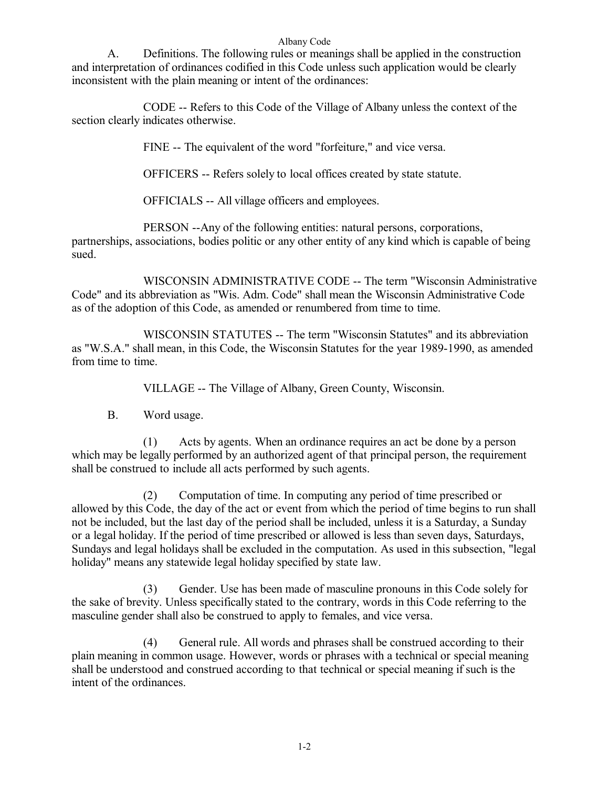A. Definitions. The following rules or meanings shall be applied in the construction and interpretation of ordinances codified in this Code unless such application would be clearly inconsistent with the plain meaning or intent of the ordinances:

CODE -- Refers to this Code of the Village of Albany unless the context of the section clearly indicates otherwise.

FINE -- The equivalent of the word "forfeiture," and vice versa.

OFFICERS -- Refers solely to local offices created by state statute.

OFFICIALS -- All village officers and employees.

PERSON --Any of the following entities: natural persons, corporations, partnerships, associations, bodies politic or any other entity of any kind which is capable of being sued.

WISCONSIN ADMINISTRATIVE CODE -- The term "Wisconsin Administrative Code" and its abbreviation as "Wis. Adm. Code" shall mean the Wisconsin Administrative Code as of the adoption of this Code, as amended or renumbered from time to time.

WISCONSIN STATUTES -- The term "Wisconsin Statutes" and its abbreviation as "W.S.A." shall mean, in this Code, the Wisconsin Statutes for the year 1989-1990, as amended from time to time.

VILLAGE -- The Village of Albany, Green County, Wisconsin.

B. Word usage.

(1) Acts by agents. When an ordinance requires an act be done by a person which may be legally performed by an authorized agent of that principal person, the requirement shall be construed to include all acts performed by such agents.

(2) Computation of time. In computing any period of time prescribed or allowed by this Code, the day of the act or event from which the period of time begins to run shall not be included, but the last day of the period shall be included, unless it is a Saturday, a Sunday or a legal holiday. If the period of time prescribed or allowed is less than seven days, Saturdays, Sundays and legal holidays shall be excluded in the computation. As used in this subsection, "legal holiday" means any statewide legal holiday specified by state law.

(3) Gender. Use has been made of masculine pronouns in this Code solely for the sake of brevity. Unless specifically stated to the contrary, words in this Code referring to the masculine gender shall also be construed to apply to females, and vice versa.

(4) General rule. All words and phrases shall be construed according to their plain meaning in common usage. However, words or phrases with a technical or special meaning shall be understood and construed according to that technical or special meaning if such is the intent of the ordinances.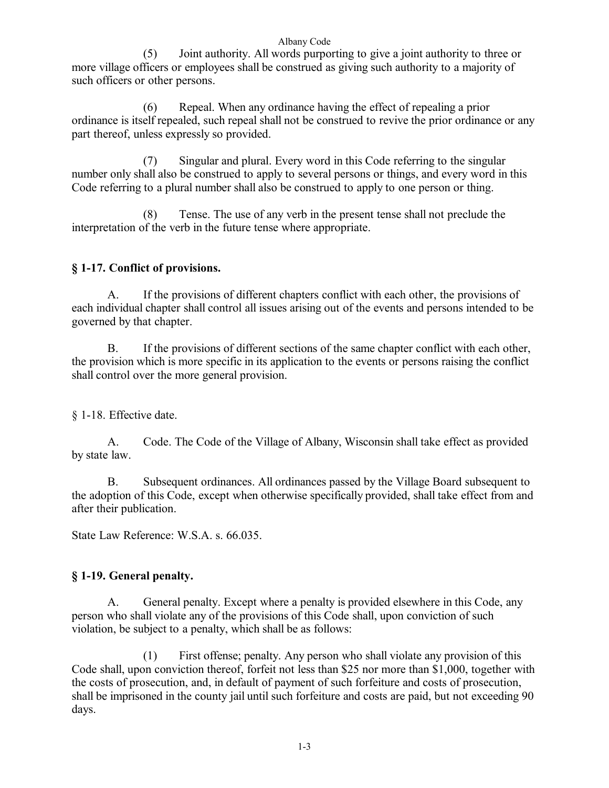(5) Joint authority. All words purporting to give a joint authority to three or more village officers or employees shall be construed as giving such authority to a majority of such officers or other persons.

(6) Repeal. When any ordinance having the effect of repealing a prior ordinance is itself repealed, such repeal shall not be construed to revive the prior ordinance or any part thereof, unless expressly so provided.

(7) Singular and plural. Every word in this Code referring to the singular number only shall also be construed to apply to several persons or things, and every word in this Code referring to a plural number shall also be construed to apply to one person or thing.

(8) Tense. The use of any verb in the present tense shall not preclude the interpretation of the verb in the future tense where appropriate.

## **§ 1-17. Conflict of provisions.**

A. If the provisions of different chapters conflict with each other, the provisions of each individual chapter shall control all issues arising out of the events and persons intended to be governed by that chapter.

B. If the provisions of different sections of the same chapter conflict with each other, the provision which is more specific in its application to the events or persons raising the conflict shall control over the more general provision.

§ 1-18. Effective date.

A. Code. The Code of the Village of Albany, Wisconsin shall take effect as provided by state law.

B. Subsequent ordinances. All ordinances passed by the Village Board subsequent to the adoption of this Code, except when otherwise specifically provided, shall take effect from and after their publication.

State Law Reference: W.S.A. s. 66.035.

## **§ 1-19. General penalty.**

A. General penalty. Except where a penalty is provided elsewhere in this Code, any person who shall violate any of the provisions of this Code shall, upon conviction of such violation, be subject to a penalty, which shall be as follows:

(1) First offense; penalty. Any person who shall violate any provision of this Code shall, upon conviction thereof, forfeit not less than \$25 nor more than \$1,000, together with the costs of prosecution, and, in default of payment of such forfeiture and costs of prosecution, shall be imprisoned in the county jail until such forfeiture and costs are paid, but not exceeding 90 days.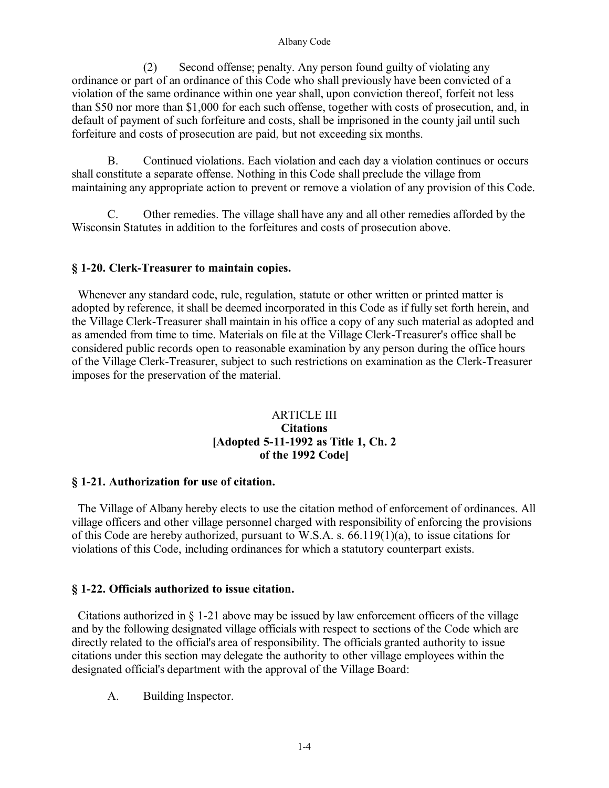(2) Second offense; penalty. Any person found guilty of violating any ordinance or part of an ordinance of this Code who shall previously have been convicted of a violation of the same ordinance within one year shall, upon conviction thereof, forfeit not less than \$50 nor more than \$1,000 for each such offense, together with costs of prosecution, and, in default of payment of such forfeiture and costs, shall be imprisoned in the county jail until such forfeiture and costs of prosecution are paid, but not exceeding six months.

B. Continued violations. Each violation and each day a violation continues or occurs shall constitute a separate offense. Nothing in this Code shall preclude the village from maintaining any appropriate action to prevent or remove a violation of any provision of this Code.

C. Other remedies. The village shall have any and all other remedies afforded by the Wisconsin Statutes in addition to the forfeitures and costs of prosecution above.

### **§ 1-20. Clerk-Treasurer to maintain copies.**

 Whenever any standard code, rule, regulation, statute or other written or printed matter is adopted by reference, it shall be deemed incorporated in this Code as if fully set forth herein, and the Village Clerk-Treasurer shall maintain in his office a copy of any such material as adopted and as amended from time to time. Materials on file at the Village Clerk-Treasurer's office shall be considered public records open to reasonable examination by any person during the office hours of the Village Clerk-Treasurer, subject to such restrictions on examination as the Clerk-Treasurer imposes for the preservation of the material.

### ARTICLE III **Citations [Adopted 5-11-1992 as Title 1, Ch. 2 of the 1992 Code]**

### **§ 1-21. Authorization for use of citation.**

 The Village of Albany hereby elects to use the citation method of enforcement of ordinances. All village officers and other village personnel charged with responsibility of enforcing the provisions of this Code are hereby authorized, pursuant to W.S.A. s. 66.119(1)(a), to issue citations for violations of this Code, including ordinances for which a statutory counterpart exists.

### **§ 1-22. Officials authorized to issue citation.**

Citations authorized in  $\S$  1-21 above may be issued by law enforcement officers of the village and by the following designated village officials with respect to sections of the Code which are directly related to the official's area of responsibility. The officials granted authority to issue citations under this section may delegate the authority to other village employees within the designated official's department with the approval of the Village Board:

A. Building Inspector.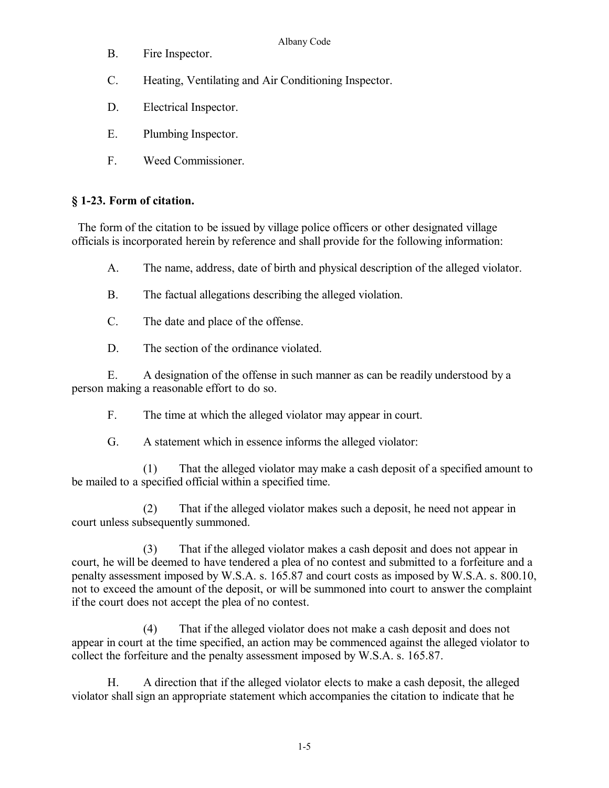- Albany Code
- B. Fire Inspector.
- C. Heating, Ventilating and Air Conditioning Inspector.
- D. Electrical Inspector.
- E. Plumbing Inspector.
- F. Weed Commissioner.

## **§ 1-23. Form of citation.**

 The form of the citation to be issued by village police officers or other designated village officials is incorporated herein by reference and shall provide for the following information:

- A. The name, address, date of birth and physical description of the alleged violator.
- B. The factual allegations describing the alleged violation.
- C. The date and place of the offense.
- D. The section of the ordinance violated.

E. A designation of the offense in such manner as can be readily understood by a person making a reasonable effort to do so.

F. The time at which the alleged violator may appear in court.

G. A statement which in essence informs the alleged violator:

(1) That the alleged violator may make a cash deposit of a specified amount to be mailed to a specified official within a specified time.

(2) That if the alleged violator makes such a deposit, he need not appear in court unless subsequently summoned.

(3) That if the alleged violator makes a cash deposit and does not appear in court, he will be deemed to have tendered a plea of no contest and submitted to a forfeiture and a penalty assessment imposed by W.S.A. s. 165.87 and court costs as imposed by W.S.A. s. 800.10, not to exceed the amount of the deposit, or will be summoned into court to answer the complaint if the court does not accept the plea of no contest.

(4) That if the alleged violator does not make a cash deposit and does not appear in court at the time specified, an action may be commenced against the alleged violator to collect the forfeiture and the penalty assessment imposed by W.S.A. s. 165.87.

H. A direction that if the alleged violator elects to make a cash deposit, the alleged violator shall sign an appropriate statement which accompanies the citation to indicate that he